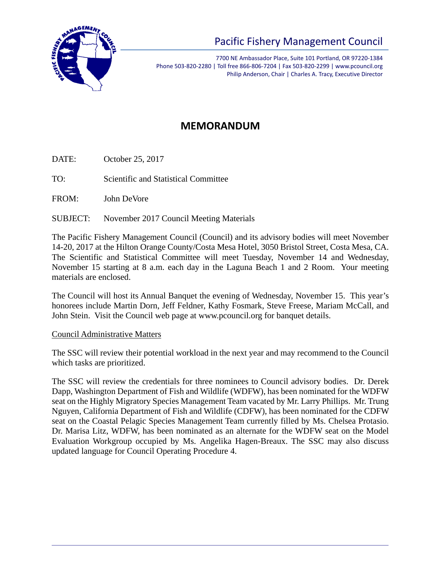

# Pacific Fishery Management Council

7700 NE Ambassador Place, Suite 101 Portland, OR 97220-1384 Phone 503-820-2280 | Toll free 866-806-7204 | Fax 503-820-2299 | www.pcouncil.org Philip Anderson, Chair | Charles A. Tracy, Executive Director

## **MEMORANDUM**

DATE: October 25, 2017

TO: Scientific and Statistical Committee

FROM: John DeVore

SUBJECT: November 2017 Council Meeting Materials

The Pacific Fishery Management Council (Council) and its advisory bodies will meet November 14-20, 2017 at the Hilton Orange County/Costa Mesa Hotel, 3050 Bristol Street, Costa Mesa, CA. The Scientific and Statistical Committee will meet Tuesday, November 14 and Wednesday, November 15 starting at 8 a.m. each day in the Laguna Beach 1 and 2 Room. Your meeting materials are enclosed.

The Council will host its Annual Banquet the evening of Wednesday, November 15. This year's honorees include Martin Dorn, Jeff Feldner, Kathy Fosmark, Steve Freese, Mariam McCall, and John Stein. Visit the Council web page at www.pcouncil.org for banquet details.

#### Council Administrative Matters

The SSC will review their potential workload in the next year and may recommend to the Council which tasks are prioritized.

The SSC will review the credentials for three nominees to Council advisory bodies. Dr. Derek Dapp, Washington Department of Fish and Wildlife (WDFW), has been nominated for the WDFW seat on the Highly Migratory Species Management Team vacated by Mr. Larry Phillips. Mr. Trung Nguyen, California Department of Fish and Wildlife (CDFW), has been nominated for the CDFW seat on the Coastal Pelagic Species Management Team currently filled by Ms. Chelsea Protasio. Dr. Marisa Litz, WDFW, has been nominated as an alternate for the WDFW seat on the Model Evaluation Workgroup occupied by Ms. Angelika Hagen-Breaux. The SSC may also discuss updated language for Council Operating Procedure 4.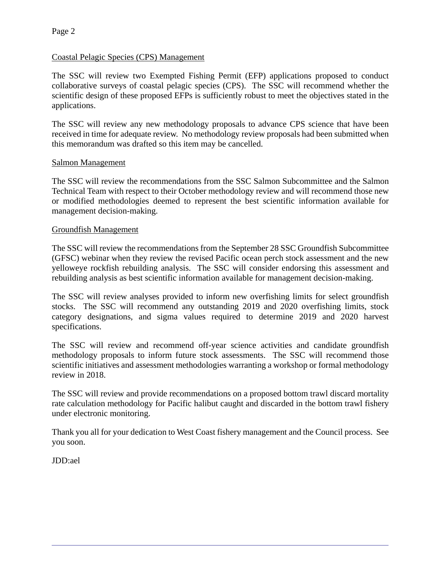#### Coastal Pelagic Species (CPS) Management

The SSC will review two Exempted Fishing Permit (EFP) applications proposed to conduct collaborative surveys of coastal pelagic species (CPS). The SSC will recommend whether the scientific design of these proposed EFPs is sufficiently robust to meet the objectives stated in the applications.

The SSC will review any new methodology proposals to advance CPS science that have been received in time for adequate review. No methodology review proposals had been submitted when this memorandum was drafted so this item may be cancelled.

#### Salmon Management

The SSC will review the recommendations from the SSC Salmon Subcommittee and the Salmon Technical Team with respect to their October methodology review and will recommend those new or modified methodologies deemed to represent the best scientific information available for management decision-making.

#### Groundfish Management

The SSC will review the recommendations from the September 28 SSC Groundfish Subcommittee (GFSC) webinar when they review the revised Pacific ocean perch stock assessment and the new yelloweye rockfish rebuilding analysis. The SSC will consider endorsing this assessment and rebuilding analysis as best scientific information available for management decision-making.

The SSC will review analyses provided to inform new overfishing limits for select groundfish stocks. The SSC will recommend any outstanding 2019 and 2020 overfishing limits, stock category designations, and sigma values required to determine 2019 and 2020 harvest specifications.

The SSC will review and recommend off-year science activities and candidate groundfish methodology proposals to inform future stock assessments. The SSC will recommend those scientific initiatives and assessment methodologies warranting a workshop or formal methodology review in 2018.

The SSC will review and provide recommendations on a proposed bottom trawl discard mortality rate calculation methodology for Pacific halibut caught and discarded in the bottom trawl fishery under electronic monitoring.

Thank you all for your dedication to West Coast fishery management and the Council process. See you soon.

JDD:ael